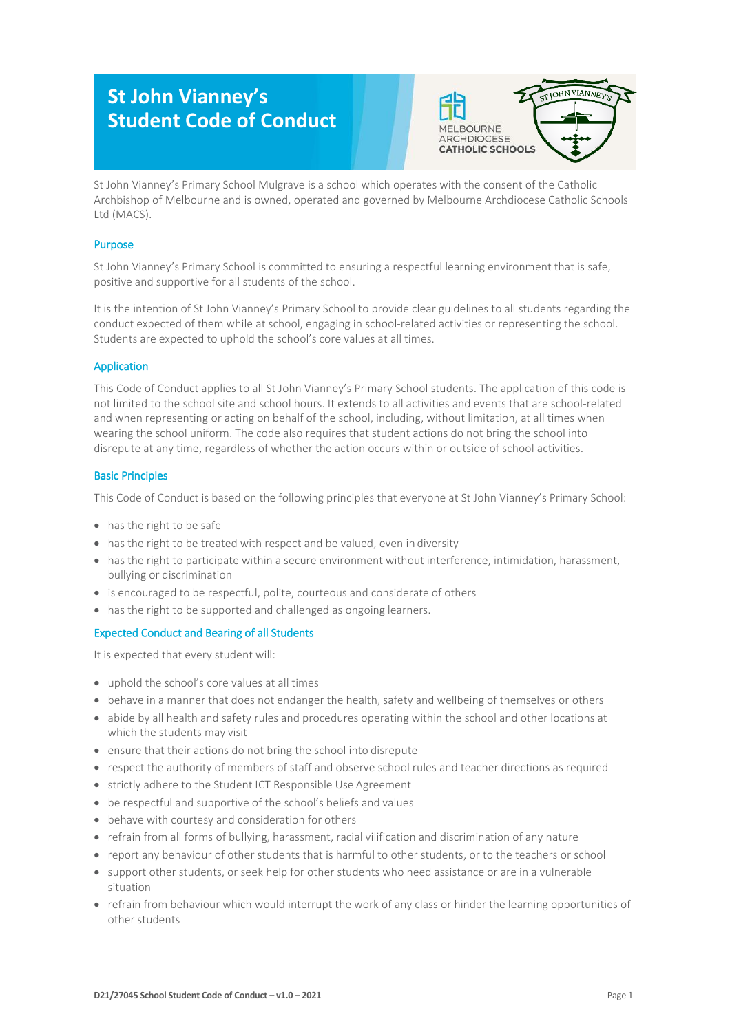# **St John Vianney's Student Code of Conduct**



St John Vianney's Primary School Mulgrave is a school which operates with the consent of the Catholic Archbishop of Melbourne and is owned, operated and governed by Melbourne Archdiocese Catholic Schools Ltd (MACS).

## Purpose

St John Vianney's Primary School is committed to ensuring a respectful learning environment that is safe, positive and supportive for all students of the school.

It is the intention of St John Vianney's Primary School to provide clear guidelines to all students regarding the conduct expected of them while at school, engaging in school-related activities or representing the school. Students are expected to uphold the school's core values at all times.

## Application

This Code of Conduct applies to all St John Vianney's Primary School students. The application of this code is not limited to the school site and school hours. It extends to all activities and events that are school-related and when representing or acting on behalf of the school, including, without limitation, at all times when wearing the school uniform. The code also requires that student actions do not bring the school into disrepute at any time, regardless of whether the action occurs within or outside of school activities.

### Basic Principles

This Code of Conduct is based on the following principles that everyone at St John Vianney's Primary School:

- has the right to be safe
- has the right to be treated with respect and be valued, even in diversity
- has the right to participate within a secure environment without interference, intimidation, harassment, bullying or discrimination
- is encouraged to be respectful, polite, courteous and considerate of others
- has the right to be supported and challenged as ongoing learners.

## Expected Conduct and Bearing of all Students

It is expected that every student will:

- uphold the school's core values at all times
- behave in a manner that does not endanger the health, safety and wellbeing of themselves or others
- abide by all health and safety rules and procedures operating within the school and other locations at which the students may visit
- ensure that their actions do not bring the school into disrepute
- respect the authority of members of staff and observe school rules and teacher directions as required
- strictly adhere to the Student ICT Responsible Use Agreement
- be respectful and supportive of the school's beliefs and values
- behave with courtesy and consideration for others
- refrain from all forms of bullying, harassment, racial vilification and discrimination of any nature
- report any behaviour of other students that is harmful to other students, or to the teachers or school
- support other students, or seek help for other students who need assistance or are in a vulnerable situation
- refrain from behaviour which would interrupt the work of any class or hinder the learning opportunities of other students